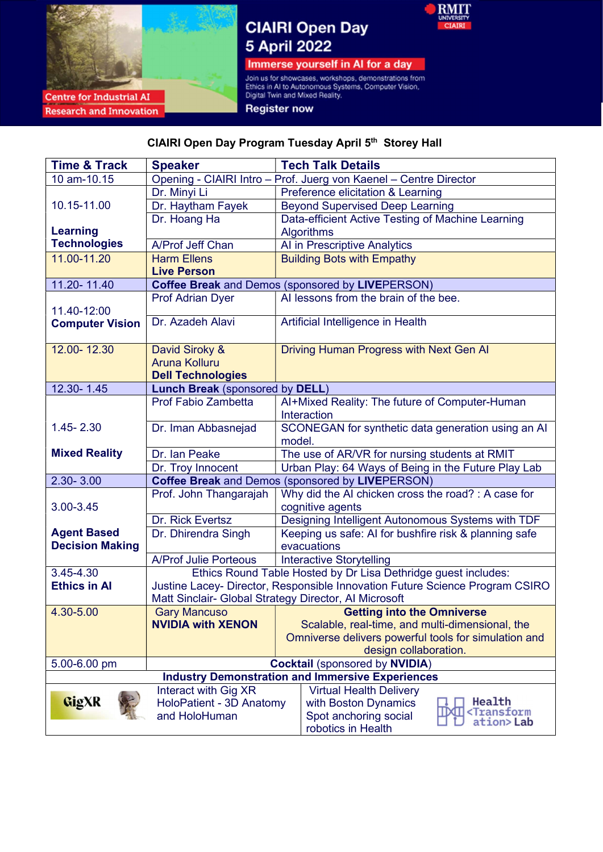

**Research and Innovation** 

# **CIAIRI Open Day** 5 April 2022



Immerse yourself in AI for a day

Join us for showcases, workshops, demonstrations from<br>Ethics in AI to Autonomous Systems, Computer Vision,<br>Digital Twin and Mixed Reality.

**Register now** 

## CIAIRI Open Day Program Tuesday April 5th Storey Hall

| <b>Time &amp; Track</b>                               | <b>Speaker</b>                                                 | <b>Tech Talk Details</b>                                                     |  |  |  |
|-------------------------------------------------------|----------------------------------------------------------------|------------------------------------------------------------------------------|--|--|--|
| 10 am-10.15                                           |                                                                | Opening - CIAIRI Intro - Prof. Juerg von Kaenel - Centre Director            |  |  |  |
|                                                       | Dr. Minyi Li                                                   | Preference elicitation & Learning                                            |  |  |  |
| 10.15-11.00                                           | Dr. Haytham Fayek                                              | <b>Beyond Supervised Deep Learning</b>                                       |  |  |  |
|                                                       | Dr. Hoang Ha                                                   | Data-efficient Active Testing of Machine Learning                            |  |  |  |
| <b>Learning</b>                                       |                                                                | <b>Algorithms</b>                                                            |  |  |  |
| <b>Technologies</b>                                   | A/Prof Jeff Chan                                               | Al in Prescriptive Analytics                                                 |  |  |  |
| 11.00-11.20                                           | <b>Harm Ellens</b>                                             | <b>Building Bots with Empathy</b>                                            |  |  |  |
|                                                       | <b>Live Person</b>                                             |                                                                              |  |  |  |
| 11.20-11.40                                           |                                                                | <b>Coffee Break and Demos (sponsored by LIVEPERSON)</b>                      |  |  |  |
|                                                       | <b>Prof Adrian Dyer</b>                                        | AI lessons from the brain of the bee.                                        |  |  |  |
| 11.40-12:00                                           |                                                                |                                                                              |  |  |  |
| <b>Computer Vision</b>                                | Dr. Azadeh Alavi                                               | Artificial Intelligence in Health                                            |  |  |  |
|                                                       |                                                                |                                                                              |  |  |  |
| 12.00-12.30                                           | David Siroky &                                                 | Driving Human Progress with Next Gen Al                                      |  |  |  |
|                                                       | <b>Aruna Kolluru</b>                                           |                                                                              |  |  |  |
|                                                       | <b>Dell Technologies</b>                                       |                                                                              |  |  |  |
| 12.30-1.45                                            | <b>Lunch Break (sponsored by DELL)</b>                         |                                                                              |  |  |  |
|                                                       | Prof Fabio Zambetta                                            | Al+Mixed Reality: The future of Computer-Human                               |  |  |  |
|                                                       |                                                                | Interaction                                                                  |  |  |  |
| 1.45-2.30                                             | Dr. Iman Abbasnejad                                            | SCONEGAN for synthetic data generation using an AI                           |  |  |  |
|                                                       |                                                                | model.                                                                       |  |  |  |
| <b>Mixed Reality</b>                                  | Dr. Ian Peake                                                  | The use of AR/VR for nursing students at RMIT                                |  |  |  |
|                                                       | Dr. Troy Innocent                                              | Urban Play: 64 Ways of Being in the Future Play Lab                          |  |  |  |
| $2.30 - 3.00$                                         |                                                                | <b>Coffee Break and Demos (sponsored by LIVEPERSON)</b>                      |  |  |  |
|                                                       | Prof. John Thangarajah                                         | Why did the AI chicken cross the road? : A case for                          |  |  |  |
| 3.00-3.45                                             |                                                                | cognitive agents                                                             |  |  |  |
|                                                       | Dr. Rick Evertsz                                               | Designing Intelligent Autonomous Systems with TDF                            |  |  |  |
| <b>Agent Based</b>                                    | Dr. Dhirendra Singh                                            | Keeping us safe: AI for bushfire risk & planning safe                        |  |  |  |
| <b>Decision Making</b>                                |                                                                | evacuations                                                                  |  |  |  |
|                                                       | <b>A/Prof Julie Porteous</b>                                   | <b>Interactive Storytelling</b>                                              |  |  |  |
| 3.45-4.30                                             | Ethics Round Table Hosted by Dr Lisa Dethridge guest includes: |                                                                              |  |  |  |
| <b>Ethics in Al</b>                                   |                                                                | Justine Lacey- Director, Responsible Innovation Future Science Program CSIRO |  |  |  |
|                                                       |                                                                | Matt Sinclair- Global Strategy Director, Al Microsoft                        |  |  |  |
| 4.30-5.00                                             |                                                                | Gary Mancuso <b>Carry Mancuso Cetting into the Omniverse</b>                 |  |  |  |
|                                                       | <b>NVIDIA with XENON</b>                                       | Scalable, real-time, and multi-dimensional, the                              |  |  |  |
|                                                       |                                                                | Omniverse delivers powerful tools for simulation and                         |  |  |  |
|                                                       |                                                                | design collaboration.                                                        |  |  |  |
| 5.00-6.00 pm<br><b>Cocktail (sponsored by NVIDIA)</b> |                                                                |                                                                              |  |  |  |
|                                                       |                                                                | <b>Industry Demonstration and Immersive Experiences</b>                      |  |  |  |
|                                                       | Interact with Gig XR                                           | <b>Virtual Health Delivery</b><br>Health                                     |  |  |  |
| GigXR                                                 | HoloPatient - 3D Anatomy                                       | with Boston Dynamics<br><b><transform< b=""></transform<></b>                |  |  |  |
|                                                       | and HoloHuman                                                  | Spot anchoring social<br>ation>Lab                                           |  |  |  |
|                                                       |                                                                | robotics in Health                                                           |  |  |  |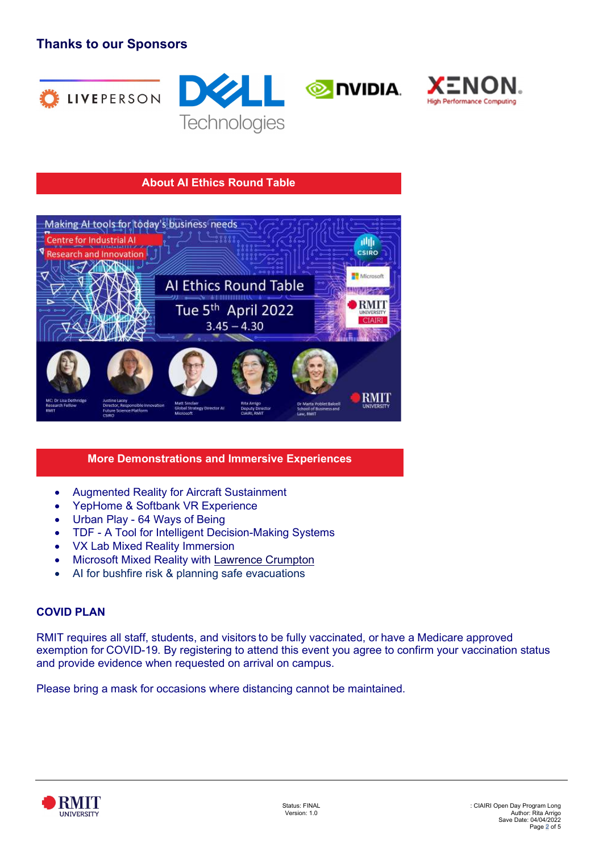## Thanks to our Sponsors









#### About AI Ethics Round Table



#### More Demonstrations and Immersive Experiences

- Augmented Reality for Aircraft Sustainment
- YepHome & Softbank VR Experience
- Urban Play 64 Ways of Being
- TDF A Tool for Intelligent Decision-Making Systems
- VX Lab Mixed Reality Immersion
- Microsoft Mixed Reality with Lawrence Crumpton
- AI for bushfire risk & planning safe evacuations

#### COVID PLAN

RMIT requires all staff, students, and visitors to be fully vaccinated, or have a Medicare approved exemption for COVID-19. By registering to attend this event you agree to confirm your vaccination status and provide evidence when requested on arrival on campus.

Please bring a mask for occasions where distancing cannot be maintained.

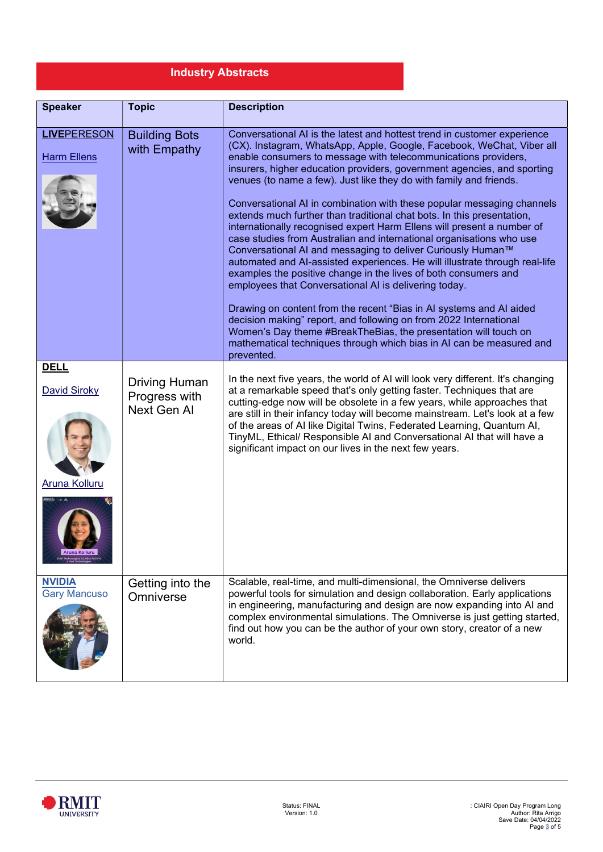## Industry Abstracts

| <b>Speaker</b>                                             | <b>Topic</b>                                         | <b>Description</b>                                                                                                                                                                                                                                                                                                                                                                                                                                                                                                                                                                                                                                                                                                                                                                                                                                                                                                                                                                                                                                                                                                                                                                                                                                        |
|------------------------------------------------------------|------------------------------------------------------|-----------------------------------------------------------------------------------------------------------------------------------------------------------------------------------------------------------------------------------------------------------------------------------------------------------------------------------------------------------------------------------------------------------------------------------------------------------------------------------------------------------------------------------------------------------------------------------------------------------------------------------------------------------------------------------------------------------------------------------------------------------------------------------------------------------------------------------------------------------------------------------------------------------------------------------------------------------------------------------------------------------------------------------------------------------------------------------------------------------------------------------------------------------------------------------------------------------------------------------------------------------|
| <b>LIVEPERESON</b><br><b>Harm Ellens</b>                   | <b>Building Bots</b><br>with Empathy                 | Conversational AI is the latest and hottest trend in customer experience<br>(CX). Instagram, WhatsApp, Apple, Google, Facebook, WeChat, Viber all<br>enable consumers to message with telecommunications providers,<br>insurers, higher education providers, government agencies, and sporting<br>venues (to name a few). Just like they do with family and friends.<br>Conversational AI in combination with these popular messaging channels<br>extends much further than traditional chat bots. In this presentation,<br>internationally recognised expert Harm Ellens will present a number of<br>case studies from Australian and international organisations who use<br>Conversational AI and messaging to deliver Curiously Human™<br>automated and Al-assisted experiences. He will illustrate through real-life<br>examples the positive change in the lives of both consumers and<br>employees that Conversational AI is delivering today.<br>Drawing on content from the recent "Bias in AI systems and AI aided<br>decision making" report, and following on from 2022 International<br>Women's Day theme #BreakTheBias, the presentation will touch on<br>mathematical techniques through which bias in AI can be measured and<br>prevented. |
| <b>DELL</b><br><b>David Siroky</b><br><b>Aruna Kolluru</b> | <b>Driving Human</b><br>Progress with<br>Next Gen Al | In the next five years, the world of AI will look very different. It's changing<br>at a remarkable speed that's only getting faster. Techniques that are<br>cutting-edge now will be obsolete in a few years, while approaches that<br>are still in their infancy today will become mainstream. Let's look at a few<br>of the areas of AI like Digital Twins, Federated Learning, Quantum AI,<br>TinyML, Ethical/ Responsible AI and Conversational AI that will have a<br>significant impact on our lives in the next few years.                                                                                                                                                                                                                                                                                                                                                                                                                                                                                                                                                                                                                                                                                                                         |
| <b>NVIDIA</b><br><b>Gary Mancuso</b>                       | Getting into the<br>Omniverse                        | Scalable, real-time, and multi-dimensional, the Omniverse delivers<br>powerful tools for simulation and design collaboration. Early applications<br>in engineering, manufacturing and design are now expanding into AI and<br>complex environmental simulations. The Omniverse is just getting started,<br>find out how you can be the author of your own story, creator of a new<br>world.                                                                                                                                                                                                                                                                                                                                                                                                                                                                                                                                                                                                                                                                                                                                                                                                                                                               |

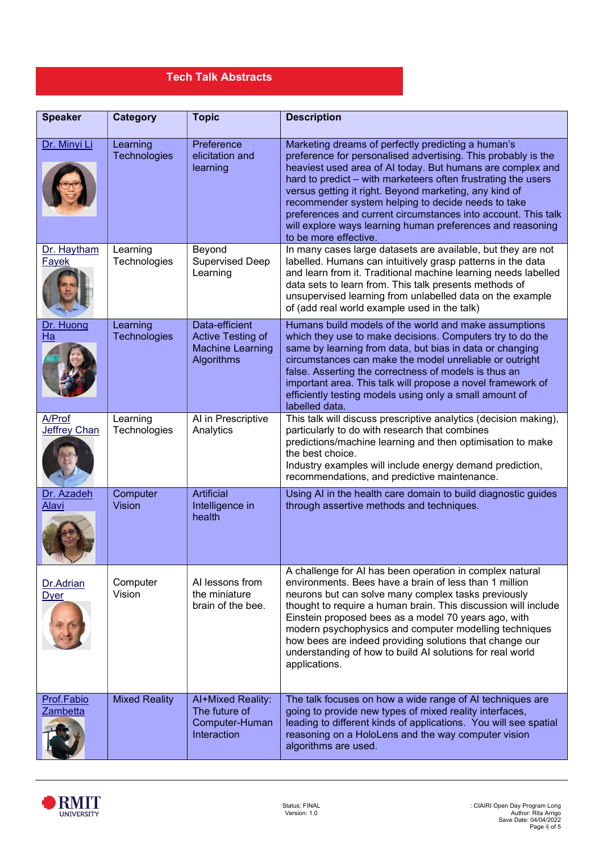## Tech Talk Abstracts

| <b>Speaker</b>                | <b>Category</b>           | <b>Topic</b>                                                                 | <b>Description</b>                                                                                                                                                                                                                                                                                                                                                                                                                                                                                                         |
|-------------------------------|---------------------------|------------------------------------------------------------------------------|----------------------------------------------------------------------------------------------------------------------------------------------------------------------------------------------------------------------------------------------------------------------------------------------------------------------------------------------------------------------------------------------------------------------------------------------------------------------------------------------------------------------------|
| Dr. Minyi Li                  | Learning<br>Technologies  | Preference<br>elicitation and<br>learning                                    | Marketing dreams of perfectly predicting a human's<br>preference for personalised advertising. This probably is the<br>heaviest used area of AI today. But humans are complex and<br>hard to predict – with marketeers often frustrating the users<br>versus getting it right. Beyond marketing, any kind of<br>recommender system helping to decide needs to take<br>preferences and current circumstances into account. This talk<br>will explore ways learning human preferences and reasoning<br>to be more effective. |
| Dr. Haytham<br>Fayek          | Learning<br>Technologies  | Beyond<br><b>Supervised Deep</b><br>Learning                                 | In many cases large datasets are available, but they are not<br>labelled. Humans can intuitively grasp patterns in the data<br>and learn from it. Traditional machine learning needs labelled<br>data sets to learn from. This talk presents methods of<br>unsupervised learning from unlabelled data on the example<br>of (add real world example used in the talk)                                                                                                                                                       |
| Dr. Huong<br>Ha               | Learning<br>Technologies  | Data-efficient<br>Active Testing of<br><b>Machine Learning</b><br>Algorithms | Humans build models of the world and make assumptions<br>which they use to make decisions. Computers try to do the<br>same by learning from data, but bias in data or changing<br>circumstances can make the model unreliable or outright<br>false. Asserting the correctness of models is thus an<br>important area. This talk will propose a novel framework of<br>efficiently testing models using only a small amount of<br>labelled data.                                                                             |
| A/Prof<br><b>Jeffrey Chan</b> | Learning<br>Technologies  | Al in Prescriptive<br>Analytics                                              | This talk will discuss prescriptive analytics (decision making),<br>particularly to do with research that combines<br>predictions/machine learning and then optimisation to make<br>the best choice.<br>Industry examples will include energy demand prediction,<br>recommendations, and predictive maintenance.                                                                                                                                                                                                           |
| Dr. Azadeh<br>Alavi           | Computer<br><b>Vision</b> | Artificial<br>Intelligence in<br>health                                      | Using AI in the health care domain to build diagnostic guides<br>through assertive methods and techniques.                                                                                                                                                                                                                                                                                                                                                                                                                 |
| Dr.Adrian<br><b>Dyer</b>      | Computer<br>Vision        | Al lessons from<br>the miniature<br>brain of the bee.                        | A challenge for AI has been operation in complex natural<br>environments. Bees have a brain of less than 1 million<br>neurons but can solve many complex tasks previously<br>thought to require a human brain. This discussion will include<br>Einstein proposed bees as a model 70 years ago, with<br>modern psychophysics and computer modelling techniques<br>how bees are indeed providing solutions that change our<br>understanding of how to build AI solutions for real world<br>applications.                     |
| Prof.Fabio<br>Zambetta        | <b>Mixed Reality</b>      | Al+Mixed Reality:<br>The future of<br>Computer-Human<br>Interaction          | The talk focuses on how a wide range of AI techniques are<br>going to provide new types of mixed reality interfaces,<br>leading to different kinds of applications. You will see spatial<br>reasoning on a HoloLens and the way computer vision<br>algorithms are used.                                                                                                                                                                                                                                                    |